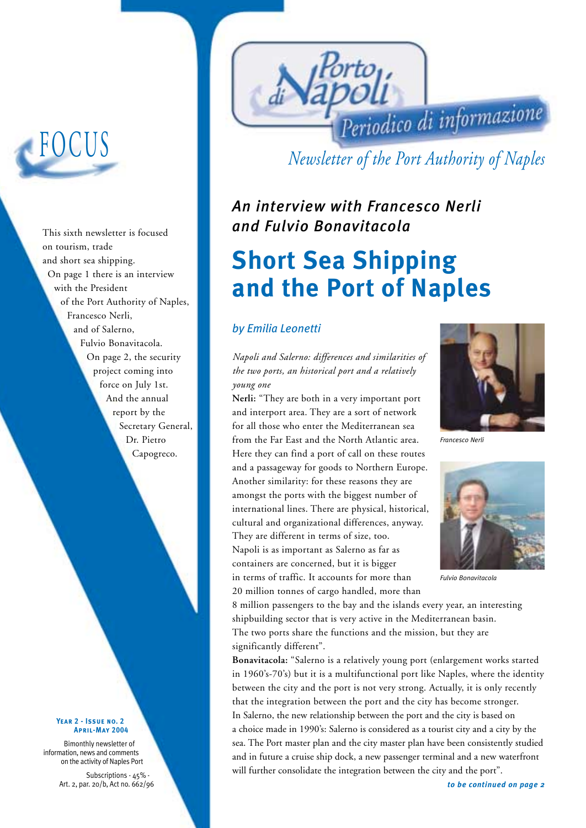# FOCUS

This sixth newsletter is focused on tourism, trade and short sea shipping. On page 1 there is an interview with the President of the Port Authority of Naples, Francesco Nerli, and of Salerno, Fulvio Bonavitacola. On page 2, the security project coming into force on July 1st. And the annual report by the Secretary General, Dr. Pietro Capogreco.

#### **Year 2 - Issue no. 2April-May 2004**

Bimonthly newsletter of information, news and comments on the activity of Naples Port

> Subscriptions - 45% - Art. 2, par. 20/b, Act no. 662/96



*Newsletter of the Port Authority of Naples*

*An interview with Francesco Nerli and Fulvio Bonavitacola* 

# **Short Sea Shipping and the Port of Naples**

### *by Emilia Leonetti*

*Napoli and Salerno: differences and similarities of the two ports, an historical port and a relatively young one*

**Nerli:** "They are both in a very important port and interport area. They are a sort of network for all those who enter the Mediterranean sea from the Far East and the North Atlantic area. Here they can find a port of call on these routes and a passageway for goods to Northern Europe. Another similarity: for these reasons they are amongst the ports with the biggest number of international lines. There are physical, historical, cultural and organizational differences, anyway. They are different in terms of size, too. Napoli is as important as Salerno as far as containers are concerned, but it is bigger in terms of traffic. It accounts for more than 20 million tonnes of cargo handled, more than



*Francesco Nerli*



*Fulvio Bonavitacola*

8 million passengers to the bay and the islands every year, an interesting shipbuilding sector that is very active in the Mediterranean basin. The two ports share the functions and the mission, but they are significantly different".

**Bonavitacola:** "Salerno is a relatively young port (enlargement works started in 1960's-70's) but it is a multifunctional port like Naples, where the identity between the city and the port is not very strong. Actually, it is only recently that the integration between the port and the city has become stronger. In Salerno, the new relationship between the port and the city is based on a choice made in 1990's: Salerno is considered as a tourist city and a city by the sea. The Port master plan and the city master plan have been consistently studied and in future a cruise ship dock, a new passenger terminal and a new waterfront will further consolidate the integration between the city and the port".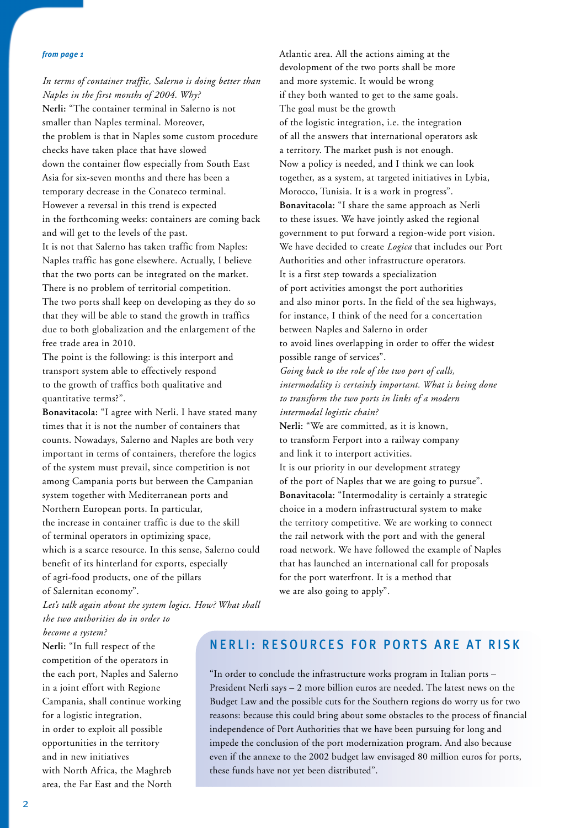#### *from page 1*

*In terms of container traffic, Salerno is doing better than Naples in the first months of 2004. Why?*

**Nerli:** "The container terminal in Salerno is not smaller than Naples terminal. Moreover, the problem is that in Naples some custom procedure checks have taken place that have slowed down the container flow especially from South East Asia for six-seven months and there has been a temporary decrease in the Conateco terminal. However a reversal in this trend is expected in the forthcoming weeks: containers are coming back and will get to the levels of the past.

It is not that Salerno has taken traffic from Naples: Naples traffic has gone elsewhere. Actually, I believe that the two ports can be integrated on the market. There is no problem of territorial competition. The two ports shall keep on developing as they do so that they will be able to stand the growth in traffics due to both globalization and the enlargement of the free trade area in 2010.

The point is the following: is this interport and transport system able to effectively respond to the growth of traffics both qualitative and quantitative terms?".

**Bonavitacola:** "I agree with Nerli. I have stated many times that it is not the number of containers that counts. Nowadays, Salerno and Naples are both very important in terms of containers, therefore the logics of the system must prevail, since competition is not among Campania ports but between the Campanian system together with Mediterranean ports and Northern European ports. In particular, the increase in container traffic is due to the skill of terminal operators in optimizing space, which is a scarce resource. In this sense, Salerno could benefit of its hinterland for exports, especially of agri-food products, one of the pillars of Salernitan economy".

*Let's talk again about the system logics. How? What shall the two authorities do in order to become a system?* 

**Nerli:** "In full respect of the competition of the operators in the each port, Naples and Salerno in a joint effort with Regione Campania, shall continue working for a logistic integration, in order to exploit all possible opportunities in the territory and in new initiatives with North Africa, the Maghreb area, the Far East and the North

Atlantic area. All the actions aiming at the devolopment of the two ports shall be more and more systemic. It would be wrong if they both wanted to get to the same goals. The goal must be the growth of the logistic integration, i.e. the integration of all the answers that international operators ask a territory. The market push is not enough. Now a policy is needed, and I think we can look together, as a system, at targeted initiatives in Lybia, Morocco, Tunisia. It is a work in progress". **Bonavitacola:** "I share the same approach as Nerli to these issues. We have jointly asked the regional government to put forward a region-wide port vision. We have decided to create *Logica* that includes our Port Authorities and other infrastructure operators. It is a first step towards a specialization of port activities amongst the port authorities and also minor ports. In the field of the sea highways, for instance, I think of the need for a concertation between Naples and Salerno in order to avoid lines overlapping in order to offer the widest possible range of services". *Going back to the role of the two port of calls, intermodality is certainly important. What is being done to transform the two ports in links of a modern intermodal logistic chain?* **Nerli:** "We are committed, as it is known, to transform Ferport into a railway company and link it to interport activities. It is our priority in our development strategy of the port of Naples that we are going to pursue". **Bonavitacola:** "Intermodality is certainly a strategic choice in a modern infrastructural system to make the territory competitive. We are working to connect the rail network with the port and with the general road network. We have followed the example of Naples

that has launched an international call for proposals for the port waterfront. It is a method that we are also going to apply".

### NERLI: RESOURCES FOR PORTS ARE AT RISK

"In order to conclude the infrastructure works program in Italian ports – President Nerli says – 2 more billion euros are needed. The latest news on the Budget Law and the possible cuts for the Southern regions do worry us for two reasons: because this could bring about some obstacles to the process of financial independence of Port Authorities that we have been pursuing for long and impede the conclusion of the port modernization program. And also because even if the annexe to the 2002 budget law envisaged 80 million euros for ports, these funds have not yet been distributed".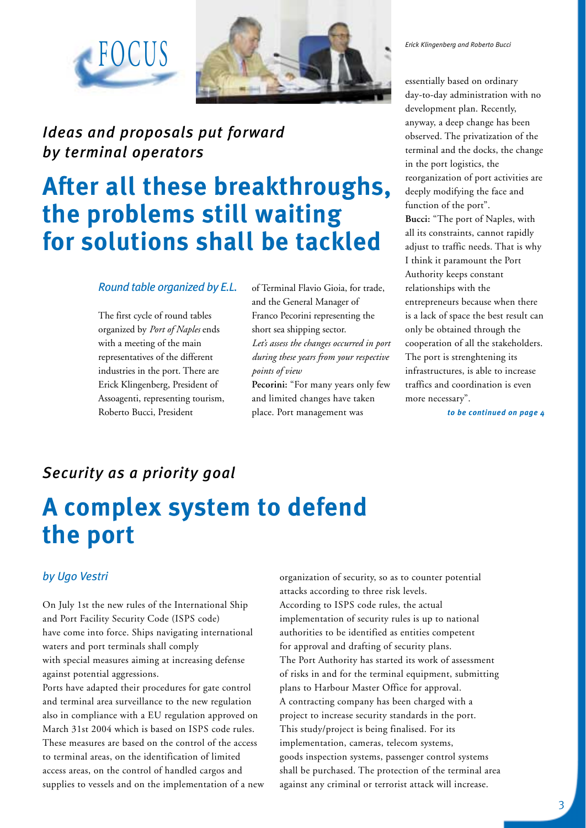



## *Ideas and proposals put forward by terminal operators*

# **After all these breakthroughs, the problems still waiting for solutions shall be tackled**

#### *Round table organized by E.L.*

The first cycle of round tables organized by *Port of Naples* ends with a meeting of the main representatives of the different industries in the port. There are Erick Klingenberg, President of Assoagenti, representing tourism, Roberto Bucci, President

of Terminal Flavio Gioia, for trade, and the General Manager of Franco Pecorini representing the short sea shipping sector. *Let's assess the changes occurred in port during these years from your respective points of view*

**Pecorini:** "For many years only few and limited changes have taken place. Port management was

*Erick Klingenberg and Roberto Bucci*

essentially based on ordinary day-to-day administration with no development plan. Recently, anyway, a deep change has been observed. The privatization of the terminal and the docks, the change in the port logistics, the reorganization of port activities are deeply modifying the face and function of the port". **Bucci:** "The port of Naples, with all its constraints, cannot rapidly adjust to traffic needs. That is why I think it paramount the Port Authority keeps constant relationships with the entrepreneurs because when there is a lack of space the best result can only be obtained through the cooperation of all the stakeholders. The port is strenghtening its infrastructures, is able to increase traffics and coordination is even more necessary".

*to be continued on page 4*

### *Security as a priority goal*

# **A complex system to defend the port**

### *by Ugo Vestri*

On July 1st the new rules of the International Ship and Port Facility Security Code (ISPS code) have come into force. Ships navigating international waters and port terminals shall comply with special measures aiming at increasing defense against potential aggressions.

Ports have adapted their procedures for gate control and terminal area surveillance to the new regulation also in compliance with a EU regulation approved on March 31st 2004 which is based on ISPS code rules. These measures are based on the control of the access to terminal areas, on the identification of limited access areas, on the control of handled cargos and supplies to vessels and on the implementation of a new organization of security, so as to counter potential attacks according to three risk levels. According to ISPS code rules, the actual implementation of security rules is up to national authorities to be identified as entities competent for approval and drafting of security plans. The Port Authority has started its work of assessment of risks in and for the terminal equipment, submitting plans to Harbour Master Office for approval. A contracting company has been charged with a project to increase security standards in the port. This study/project is being finalised. For its implementation, cameras, telecom systems, goods inspection systems, passenger control systems shall be purchased. The protection of the terminal area against any criminal or terrorist attack will increase.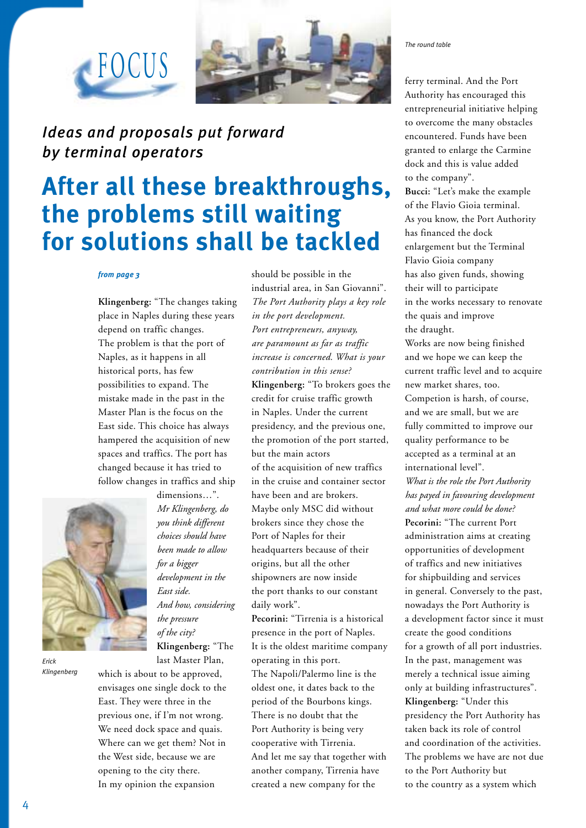

## *Ideas and proposals put forward by terminal operators*

# **After all these breakthroughs, the problems still waiting for solutions shall be tackled**

#### *from page 3*

FOCUS

**Klingenberg:** "The changes taking place in Naples during these years depend on traffic changes. The problem is that the port of Naples, as it happens in all historical ports, has few possibilities to expand. The mistake made in the past in the Master Plan is the focus on the East side. This choice has always hampered the acquisition of new spaces and traffics. The port has changed because it has tried to follow changes in traffics and ship



*Erick Klingenberg* dimensions…". *Mr Klingenberg, do you think different choices should have been made to allow for a bigger development in the East side. And how, considering the pressure of the city?*  **Klingenberg:** "The last Master Plan,

which is about to be approved, envisages one single dock to the East. They were three in the previous one, if I'm not wrong. We need dock space and quais. Where can we get them? Not in the West side, because we are opening to the city there. In my opinion the expansion

should be possible in the industrial area, in San Giovanni". *The Port Authority plays a key role in the port development. Port entrepreneurs, anyway, are paramount as far as traffic increase is concerned. What is your contribution in this sense?* **Klingenberg:** "To brokers goes the credit for cruise traffic growth in Naples. Under the current presidency, and the previous one, the promotion of the port started, but the main actors of the acquisition of new traffics in the cruise and container sector have been and are brokers. Maybe only MSC did without brokers since they chose the Port of Naples for their headquarters because of their origins, but all the other shipowners are now inside the port thanks to our constant daily work".

**Pecorini:** "Tirrenia is a historical presence in the port of Naples. It is the oldest maritime company operating in this port. The Napoli/Palermo line is the oldest one, it dates back to the period of the Bourbons kings. There is no doubt that the Port Authority is being very cooperative with Tirrenia. And let me say that together with another company, Tirrenia have created a new company for the

*The round table*

ferry terminal. And the Port Authority has encouraged this entrepreneurial initiative helping to overcome the many obstacles encountered. Funds have been granted to enlarge the Carmine dock and this is value added to the company".

**Bucci:** "Let's make the example of the Flavio Gioia terminal. As you know, the Port Authority has financed the dock enlargement but the Terminal Flavio Gioia company has also given funds, showing their will to participate in the works necessary to renovate the quais and improve the draught.

Works are now being finished and we hope we can keep the current traffic level and to acquire new market shares, too. Competion is harsh, of course, and we are small, but we are fully committed to improve our quality performance to be accepted as a terminal at an international level".

*What is the role the Port Authority has payed in favouring development and what more could be done?* 

**Pecorini:** "The current Port administration aims at creating opportunities of development of traffics and new initiatives for shipbuilding and services in general. Conversely to the past, nowadays the Port Authority is a development factor since it must create the good conditions for a growth of all port industries. In the past, management was merely a technical issue aiming only at building infrastructures". **Klingenberg:** "Under this presidency the Port Authority has taken back its role of control and coordination of the activities. The problems we have are not due to the Port Authority but to the country as a system which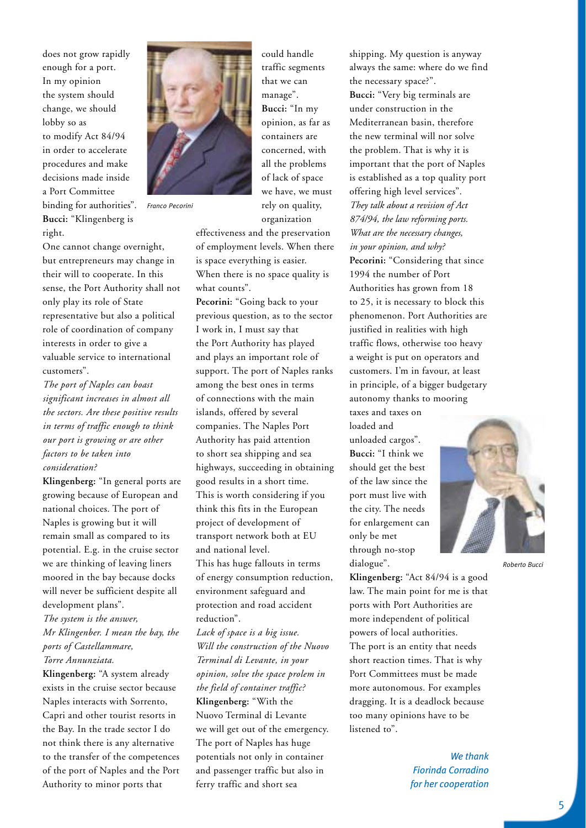does not grow rapidly enough for a port. In my opinion the system should change, we should lobby so as to modify Act 84/94 in order to accelerate procedures and make decisions made inside a Port Committee binding for authorities". **Bucci:** "Klingenberg is right.

One cannot change overnight, but entrepreneurs may change in their will to cooperate. In this sense, the Port Authority shall not only play its role of State representative but also a political role of coordination of company interests in order to give a valuable service to international customers".

*Franco Pecorini*

*The port of Naples can boast significant increases in almost all the sectors. Are these positive results in terms of traffic enough to think our port is growing or are other factors to be taken into consideration?*

**Klingenberg:** "In general ports are growing because of European and national choices. The port of Naples is growing but it will remain small as compared to its potential. E.g. in the cruise sector we are thinking of leaving liners moored in the bay because docks will never be sufficient despite all development plans".

*The system is the answer, Mr Klingenber. I mean the bay, the ports of Castellammare, Torre Annunziata.*

**Klingenberg:** "A system already exists in the cruise sector because Naples interacts with Sorrento, Capri and other tourist resorts in the Bay. In the trade sector I do not think there is any alternative to the transfer of the competences of the port of Naples and the Port Authority to minor ports that



effectiveness and the preservation of employment levels. When there is space everything is easier. When there is no space quality is what counts".

**Pecorini:** "Going back to your previous question, as to the sector I work in, I must say that the Port Authority has played and plays an important role of support. The port of Naples ranks among the best ones in terms of connections with the main islands, offered by several companies. The Naples Port Authority has paid attention to short sea shipping and sea highways, succeeding in obtaining good results in a short time. This is worth considering if you think this fits in the European project of development of transport network both at EU and national level. This has huge fallouts in terms of energy consumption reduction, environment safeguard and protection and road accident reduction".

*Lack of space is a big issue. Will the construction of the Nuovo Terminal di Levante, in your opinion, solve the space prolem in the field of container traffic?* **Klingenberg:** "With the Nuovo Terminal di Levante we will get out of the emergency. The port of Naples has huge potentials not only in container and passenger traffic but also in ferry traffic and short sea

shipping. My question is anyway always the same: where do we find the necessary space?".

**Bucci:** "Very big terminals are under construction in the Mediterranean basin, therefore the new terminal will nor solve the problem. That is why it is important that the port of Naples is established as a top quality port offering high level services". *They talk about a revision of Act 874/94, the law reforming ports. What are the necessary changes, in your opinion, and why?* **Pecorini:** "Considering that since 1994 the number of Port Authorities has grown from 18 to 25, it is necessary to block this phenomenon. Port Authorities are justified in realities with high traffic flows, otherwise too heavy a weight is put on operators and customers. I'm in favour, at least in principle, of a bigger budgetary autonomy thanks to mooring

taxes and taxes on loaded and unloaded cargos". **Bucci:** "I think we should get the best of the law since the port must live with the city. The needs for enlargement can only be met through no-stop dialogue".



*Roberto Bucci*

**Klingenberg:** "Act 84/94 is a good law. The main point for me is that ports with Port Authorities are more independent of political powers of local authorities. The port is an entity that needs short reaction times. That is why Port Committees must be made more autonomous. For examples dragging. It is a deadlock because too many opinions have to be listened to".

> *We thank Fiorinda Corradino for her cooperation*